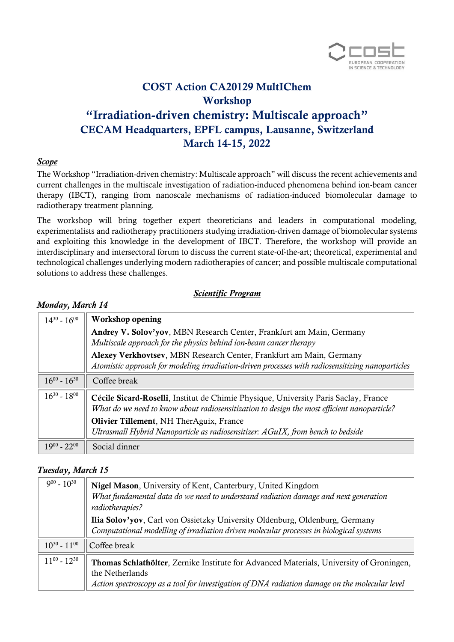

# COST Action CA20129 MultIChem Workshop "Irradiation-driven chemistry: Multiscale approach" CECAM Headquarters, EPFL campus, Lausanne, Switzerland March 14-15, 2022

#### *Scope*

The Workshop "Irradiation-driven chemistry: Multiscale approach" will discuss the recent achievements and current challenges in the multiscale investigation of radiation-induced phenomena behind ion-beam cancer therapy (IBCT), ranging from nanoscale mechanisms of radiation-induced biomolecular damage to radiotherapy treatment planning.

The workshop will bring together expert theoreticians and leaders in computational modeling, experimentalists and radiotherapy practitioners studying irradiation-driven damage of biomolecular systems and exploiting this knowledge in the development of IBCT. Therefore, the workshop will provide an interdisciplinary and intersectoral forum to discuss the current state-of-the-art; theoretical, experimental and technological challenges underlying modern radiotherapies of cancer; and possible multiscale computational solutions to address these challenges.

### *Scientific Program*

| $14^{30} - 16^{00}$ | <b>Workshop opening</b>                                                                                                                                                            |
|---------------------|------------------------------------------------------------------------------------------------------------------------------------------------------------------------------------|
|                     | Andrey V. Solov'yov, MBN Research Center, Frankfurt am Main, Germany<br>Multiscale approach for the physics behind ion-beam cancer therapy                                         |
|                     | Alexey Verkhovtsev, MBN Research Center, Frankfurt am Main, Germany<br>Atomistic approach for modeling irradiation-driven processes with radiosensitizing nanoparticles            |
| $16^{00} - 16^{30}$ | Coffee break                                                                                                                                                                       |
| $16^{30} - 18^{00}$ | Cécile Sicard-Roselli, Institut de Chimie Physique, University Paris Saclay, France<br>What do we need to know about radiosensitization to design the most efficient nanoparticle? |
|                     | Olivier Tillement, NH TherAguix, France<br>Ultrasmall Hybrid Nanoparticle as radiosensitizer: AGuIX, from bench to bedside                                                         |
| $10^{00}$ - 2200    | Social dinner                                                                                                                                                                      |

### *Monday, March 14*

# *Tuesday, March 15*

| $9^{00} - 10^{30}$  | Nigel Mason, University of Kent, Canterbury, United Kingdom<br>What fundamental data do we need to understand radiation damage and next generation<br>radiotherapies?                                        |
|---------------------|--------------------------------------------------------------------------------------------------------------------------------------------------------------------------------------------------------------|
|                     | Ilia Solov'yov, Carl von Ossietzky University Oldenburg, Oldenburg, Germany<br>Computational modelling of irradiation driven molecular processes in biological systems                                       |
| $10^{30} - 11^{00}$ | Coffee break                                                                                                                                                                                                 |
| $11^{00} - 12^{30}$ | Thomas Schlathölter, Zernike Institute for Advanced Materials, University of Groningen,<br>the Netherlands<br>Action spectroscopy as a tool for investigation of DNA radiation damage on the molecular level |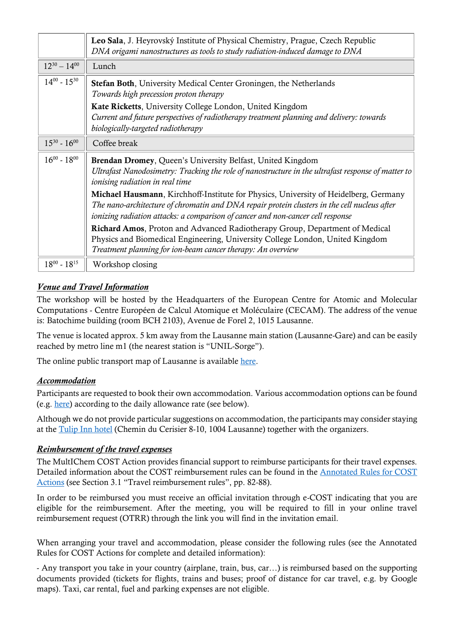|                     | Leo Sala, J. Heyrovský Institute of Physical Chemistry, Prague, Czech Republic<br>DNA origami nanostructures as tools to study radiation-induced damage to DNA                                                                                                                                                                                                                                                                                                                                                                                                                                                                                                                                                |
|---------------------|---------------------------------------------------------------------------------------------------------------------------------------------------------------------------------------------------------------------------------------------------------------------------------------------------------------------------------------------------------------------------------------------------------------------------------------------------------------------------------------------------------------------------------------------------------------------------------------------------------------------------------------------------------------------------------------------------------------|
| $12^{30} - 14^{00}$ | Lunch                                                                                                                                                                                                                                                                                                                                                                                                                                                                                                                                                                                                                                                                                                         |
| $14^{00} - 15^{30}$ | Stefan Both, University Medical Center Groningen, the Netherlands<br>Towards high precession proton therapy<br>Kate Ricketts, University College London, United Kingdom<br>Current and future perspectives of radiotherapy treatment planning and delivery: towards<br>biologically-targeted radiotherapy                                                                                                                                                                                                                                                                                                                                                                                                     |
| $15^{30} - 16^{00}$ | Coffee break                                                                                                                                                                                                                                                                                                                                                                                                                                                                                                                                                                                                                                                                                                  |
| $16^{00} - 18^{00}$ | Brendan Dromey, Queen's University Belfast, United Kingdom<br>Ultrafast Nanodosimetry: Tracking the role of nanostructure in the ultrafast response of matter to<br>ionising radiation in real time<br>Michael Hausmann, Kirchhoff-Institute for Physics, University of Heidelberg, Germany<br>The nano-architecture of chromatin and DNA repair protein clusters in the cell nucleus after<br>ionizing radiation attacks: a comparison of cancer and non-cancer cell response<br>Richard Amos, Proton and Advanced Radiotherapy Group, Department of Medical<br>Physics and Biomedical Engineering, University College London, United Kingdom<br>Treatment planning for ion-beam cancer therapy: An overview |
| $18^{00} - 18^{15}$ | Workshop closing                                                                                                                                                                                                                                                                                                                                                                                                                                                                                                                                                                                                                                                                                              |

# *Venue and Travel Information*

The workshop will be hosted by the Headquarters of the European Centre for Atomic and Molecular Computations - Centre Européen de Calcul Atomique et Moléculaire (CECAM). The address of the venue is: Batochime building (room BCH 2103), Avenue de Forel 2, 1015 Lausanne.

The venue is located approx. 5 km away from the Lausanne main station (Lausanne-Gare) and can be easily reached by metro line m1 (the nearest station is "UNIL-Sorge").

The online public transport map of Lausanne is available [here.](https://www.t-l.ch/map/)

# *Accommodation*

Participants are requested to book their own accommodation. Various accommodation options can be found (e.g. [here\)](http://www.lausanne-tourisme.ch/en/) according to the daily allowance rate (see below).

Although we do not provide particular suggestions on accommodation, the participants may consider staying at the [Tulip Inn hotel](https://tulip-inn-lausanne.goldentulip.com/en-us/) (Chemin du Cerisier 8-10, 1004 Lausanne) together with the organizers.

### *Reimbursement of the travel expenses*

The MultIChem COST Action provides financial support to reimburse participants for their travel expenses. Detailed information about the COST reimbursement rules can be found in the [Annotated Rules](https://www.cost.eu/uploads/2021/10/COST-094-21-Annotated-Rules-for-COST-Actions-Level-C-2021-11-01-1.pdf) for COST [Actions](https://www.cost.eu/uploads/2021/10/COST-094-21-Annotated-Rules-for-COST-Actions-Level-C-2021-11-01-1.pdf) (see Section 3.1 "Travel reimbursement rules", pp. 82-88).

In order to be reimbursed you must receive an official invitation through e-COST indicating that you are eligible for the reimbursement. After the meeting, you will be required to fill in your online travel reimbursement request (OTRR) through the link you will find in the invitation email.

When arranging your travel and accommodation, please consider the following rules (see the Annotated Rules for COST Actions for complete and detailed information):

- Any transport you take in your country (airplane, train, bus, car…) is reimbursed based on the supporting documents provided (tickets for flights, trains and buses; proof of distance for car travel, e.g. by Google maps). Taxi, car rental, fuel and parking expenses are not eligible.